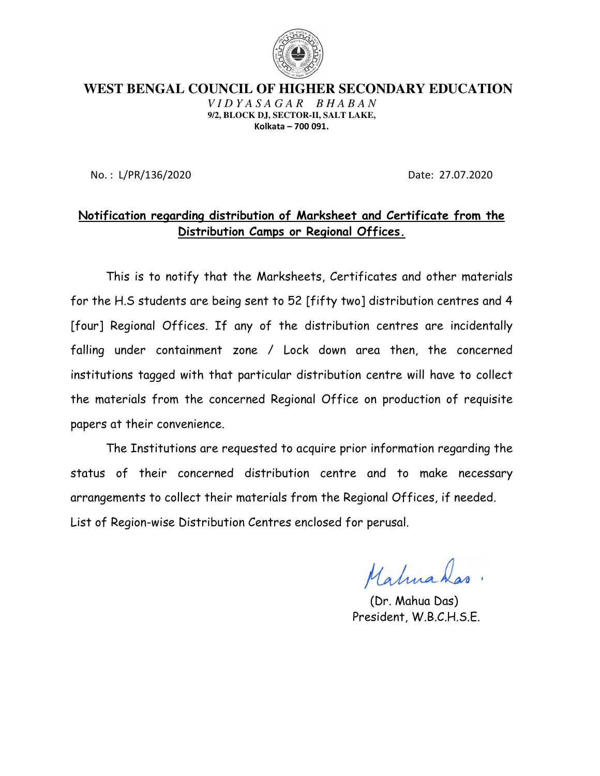

**WEST BENGAL COUNCIL OF HIGHER SECONDARY EDUCATION** *V I D Y A S A G A R* **9/2, BLOCK DJ, SECTOR SECTOR-II, SALT LAKE,**  Kolkata – 700 091.

No. : L/PR/136/2020

Date: 27.07.2020

#### <u>Notification regarding distribution of Marksheet and Certificate from the </u> Distribution Camp Distribution Camps or Regional Offices.

This is to notify that the Marksheets, Certificates and other materials for the H.S students are being sent to 52 [fifty two] distribution centres and 4 [four] Regional Offices. If any of the distribution centres are incidentally [four] Regional Offices. If any of the distribution centres are incidentally<br>falling under containment zone / Lock down area then, the concerned institutions tagged with that particular distribution centre will have to collect institutions tagged with that particular distribution centre will have to collect<br>the materials from the concerned Regional Office on production of requisite papers at their convenience. aterials from the concerned Regional Office on production of requisite<br>: at their convenience.<br>The Institutions are requested to acquire prior information regarding the

status of their concerned distribution centre and to make necessary status of their concerned distribution centre and to make necess:<br>arrangements to collect their materials from the Regional Offices, if needed. List of Region-wise Distribution Centres enclosed for perusal. wise enclosed for

Maturahas.

 (Dr. Mahua Das) President, W.B.C.H.S.E.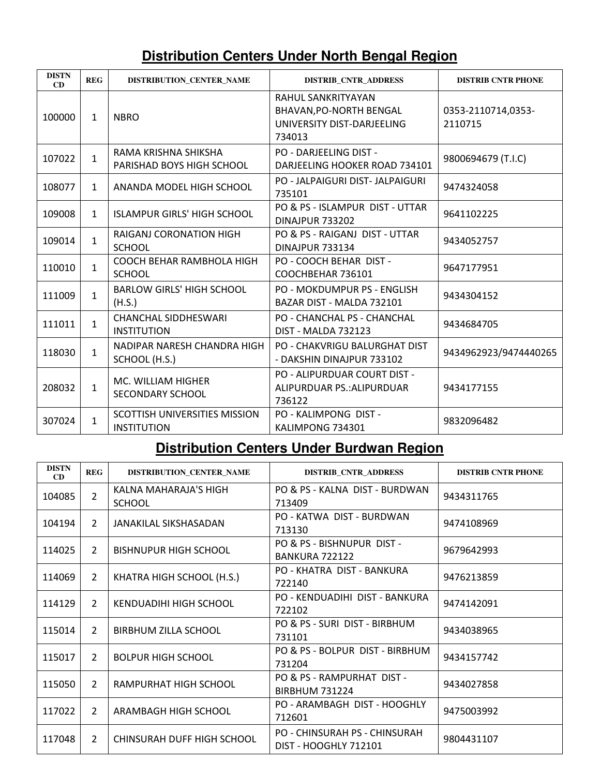### **Distribution Centers Under North Bengal Region**

| <b>DISTN</b><br>CD | <b>REG</b>   | <b>DISTRIBUTION CENTER NAME</b>                     | <b>DISTRIB CNTR ADDRESS</b>                                                           | <b>DISTRIB CNTR PHONE</b>     |
|--------------------|--------------|-----------------------------------------------------|---------------------------------------------------------------------------------------|-------------------------------|
| 100000             | $\mathbf{1}$ | <b>NBRO</b>                                         | RAHUL SANKRITYAYAN<br>BHAVAN, PO-NORTH BENGAL<br>UNIVERSITY DIST-DARJEELING<br>734013 | 0353-2110714,0353-<br>2110715 |
| 107022             | $\mathbf{1}$ | RAMA KRISHNA SHIKSHA<br>PARISHAD BOYS HIGH SCHOOL   | PO - DARJEELING DIST -<br>DARJEELING HOOKER ROAD 734101                               | 9800694679 (T.I.C)            |
| 108077             | $\mathbf{1}$ | ANANDA MODEL HIGH SCHOOL                            | PO - JALPAIGURI DIST- JALPAIGURI<br>735101                                            | 9474324058                    |
| 109008             | $\mathbf{1}$ | <b>ISLAMPUR GIRLS' HIGH SCHOOL</b>                  | PO & PS - ISLAMPUR DIST - UTTAR<br><b>DINAJPUR 733202</b>                             | 9641102225                    |
| 109014             | $\mathbf 1$  | RAIGANJ CORONATION HIGH<br><b>SCHOOL</b>            | PO & PS - RAIGANJ DIST - UTTAR<br>DINAJPUR 733134                                     | 9434052757                    |
| 110010             | $\mathbf 1$  | COOCH BEHAR RAMBHOLA HIGH<br><b>SCHOOL</b>          | PO - COOCH BEHAR DIST -<br>COOCHBEHAR 736101                                          | 9647177951                    |
| 111009             | $\mathbf{1}$ | <b>BARLOW GIRLS' HIGH SCHOOL</b><br>(H.S.)          | <b>PO - MOKDUMPUR PS - ENGLISH</b><br>BAZAR DIST - MALDA 732101                       | 9434304152                    |
| 111011             | $\mathbf 1$  | <b>CHANCHAL SIDDHESWARI</b><br><b>INSTITUTION</b>   | PO - CHANCHAL PS - CHANCHAL<br><b>DIST - MALDA 732123</b>                             | 9434684705                    |
| 118030             | $\mathbf 1$  | NADIPAR NARESH CHANDRA HIGH<br>SCHOOL (H.S.)        | <b>PO - CHAKVRIGU BALURGHAT DIST</b><br>- DAKSHIN DINAJPUR 733102                     | 9434962923/9474440265         |
| 208032             | $\mathbf{1}$ | MC. WILLIAM HIGHER<br>SECONDARY SCHOOL              | PO - ALIPURDUAR COURT DIST -<br>ALIPURDUAR PS.: ALIPURDUAR<br>736122                  | 9434177155                    |
| 307024             | $\mathbf 1$  | SCOTTISH UNIVERSITIES MISSION<br><b>INSTITUTION</b> | PO - KALIMPONG DIST -<br>KALIMPONG 734301                                             | 9832096482                    |

### **Distribution Centers Under Burdwan Region**

| <b>DISTN</b><br>CD | <b>REG</b>     | <b>DISTRIBUTION CENTER NAME</b>        | <b>DISTRIB CNTR ADDRESS</b>                            | <b>DISTRIB CNTR PHONE</b> |
|--------------------|----------------|----------------------------------------|--------------------------------------------------------|---------------------------|
| 104085             | $\overline{2}$ | KALNA MAHARAJA'S HIGH<br><b>SCHOOL</b> | PO & PS - KALNA DIST - BURDWAN<br>713409               | 9434311765                |
| 104194             | $\overline{2}$ | JANAKILAL SIKSHASADAN                  | PO - KATWA DIST - BURDWAN<br>713130                    | 9474108969                |
| 114025             | $\overline{2}$ | <b>BISHNUPUR HIGH SCHOOL</b>           | PO & PS - BISHNUPUR DIST -<br>BANKURA 722122           | 9679642993                |
| 114069             | 2              | KHATRA HIGH SCHOOL (H.S.)              | PO - KHATRA DIST - BANKURA<br>722140                   | 9476213859                |
| 114129             | $\overline{2}$ | KENDUADIHI HIGH SCHOOL                 | PO - KENDUADIHI, DIST - BANKURA<br>722102              | 9474142091                |
| 115014             | $\overline{2}$ | BIRBHUM ZILLA SCHOOL                   | PO & PS - SURI DIST - BIRBHUM<br>731101                | 9434038965                |
| 115017             | $\overline{2}$ | <b>BOLPUR HIGH SCHOOL</b>              | PO & PS - BOLPUR DIST - BIRBHUM<br>731204              | 9434157742                |
| 115050             | $\overline{2}$ | RAMPURHAT HIGH SCHOOL                  | PO & PS - RAMPURHAT DIST -<br><b>BIRBHUM 731224</b>    | 9434027858                |
| 117022             | $\overline{2}$ | ARAMBAGH HIGH SCHOOL                   | PO - ARAMBAGH DIST - HOOGHLY<br>712601                 | 9475003992                |
| 117048             | $\overline{2}$ | CHINSURAH DUFF HIGH SCHOOL             | PO - CHINSURAH PS - CHINSURAH<br>DIST - HOOGHLY 712101 | 9804431107                |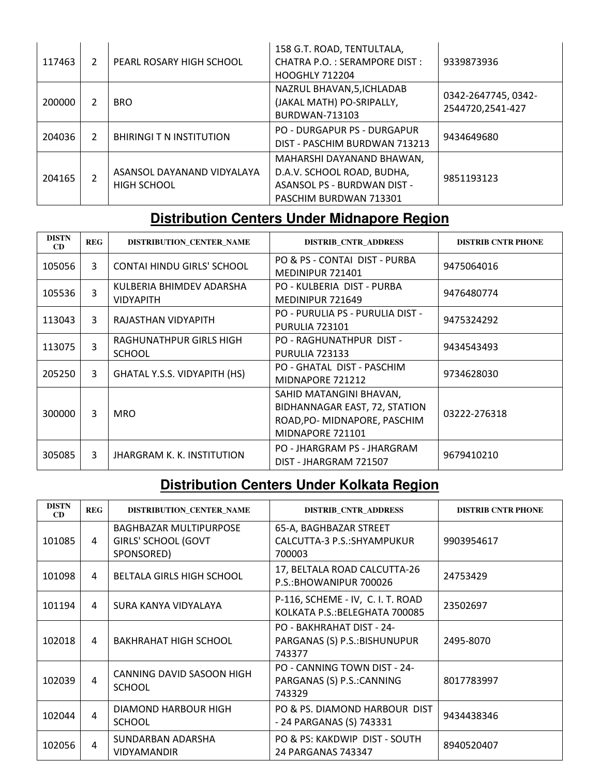| 117463 | 2              | PEARL ROSARY HIGH SCHOOL                         | 158 G.T. ROAD, TENTULTALA,<br>CHATRA P.O.: SERAMPORE DIST:<br><b>HOOGHLY 712204</b>                                     | 9339873936                              |
|--------|----------------|--------------------------------------------------|-------------------------------------------------------------------------------------------------------------------------|-----------------------------------------|
| 200000 | 2              | <b>BRO</b>                                       | NAZRUL BHAVAN, 5, ICHLADAB<br>(JAKAL MATH) PO-SRIPALLY,<br><b>BURDWAN-713103</b>                                        | 0342-2647745, 0342-<br>2544720,2541-427 |
| 204036 | 2              | <b>BHIRINGI T N INSTITUTION</b>                  | <b>PO - DURGAPUR PS - DURGAPUR</b><br>DIST - PASCHIM BURDWAN 713213                                                     | 9434649680                              |
| 204165 | $\overline{2}$ | ASANSOL DAYANAND VIDYALAYA<br><b>HIGH SCHOOL</b> | MAHARSHI DAYANAND BHAWAN,<br>D.A.V. SCHOOL ROAD, BUDHA,<br><b>ASANSOL PS - BURDWAN DIST -</b><br>PASCHIM BURDWAN 713301 | 9851193123                              |

## **Distribution Centers Under Midnapore Region**

| <b>DISTN</b><br>CD | <b>REG</b> | DISTRIBUTION_CENTER_NAME                     | <b>DISTRIB_CNTR_ADDRESS</b>                                                                                 | <b>DISTRIB CNTR PHONE</b> |
|--------------------|------------|----------------------------------------------|-------------------------------------------------------------------------------------------------------------|---------------------------|
| 105056             | 3          | CONTAI HINDU GIRLS' SCHOOL                   | PO & PS - CONTAI DIST - PURBA<br>MEDINIPUR 721401                                                           | 9475064016                |
| 105536             | 3          | KULBERIA BHIMDEV ADARSHA<br><b>VIDYAPITH</b> | PO - KULBERIA DIST - PURBA<br>MEDINIPUR 721649                                                              | 9476480774                |
| 113043             | 3          | RAJASTHAN VIDYAPITH                          | PO - PURULIA PS - PURULIA DIST -<br><b>PURULIA 723101</b>                                                   | 9475324292                |
| 113075             | 3          | RAGHUNATHPUR GIRLS HIGH<br><b>SCHOOL</b>     | PO - RAGHUNATHPUR DIST -<br>PURULIA 723133                                                                  | 9434543493                |
| 205250             | 3          | <b>GHATAL Y.S.S. VIDYAPITH (HS)</b>          | PO - GHATAL DIST - PASCHIM<br>MIDNAPORE 721212                                                              | 9734628030                |
| 300000             | 3          | <b>MRO</b>                                   | SAHID MATANGINI BHAVAN,<br>BIDHANNAGAR EAST, 72, STATION<br>ROAD, PO-MIDNAPORE, PASCHIM<br>MIDNAPORE 721101 | 03222-276318              |
| 305085             | 3          | <b>JHARGRAM K. K. INSTITUTION</b>            | PO - JHARGRAM PS - JHARGRAM<br>DIST - JHARGRAM 721507                                                       | 9679410210                |

# **Distribution Centers Under Kolkata Region**

| <b>DISTN</b><br>CD | <b>REG</b>             | DISTRIBUTION_CENTER_NAME                                                  | <b>DISTRIB_CNTR_ADDRESS</b>                                          | <b>DISTRIB CNTR PHONE</b> |
|--------------------|------------------------|---------------------------------------------------------------------------|----------------------------------------------------------------------|---------------------------|
| 101085             | 4                      | <b>BAGHBAZAR MULTIPURPOSE</b><br><b>GIRLS' SCHOOL (GOVT</b><br>SPONSORED) | 65-A, BAGHBAZAR STREET<br>CALCUTTA-3 P.S.:SHYAMPUKUR<br>700003       | 9903954617                |
| 101098             | 4                      | <b>BELTALA GIRLS HIGH SCHOOL</b>                                          | 17, BELTALA ROAD CALCUTTA-26<br>P.S.: BHOWANIPUR 700026              | 24753429                  |
| 101194             | 4                      | SURA KANYA VIDYALAYA                                                      | P-116, SCHEME - IV, C. I. T. ROAD<br>KOLKATA P.S.: BELEGHATA 700085  | 23502697                  |
| 102018             | 4                      | BAKHRAHAT HIGH SCHOOL                                                     | PO - BAKHRAHAT DIST - 24-<br>PARGANAS (S) P.S.: BISHUNUPUR<br>743377 | 2495-8070                 |
| 102039             | $\boldsymbol{\Lambda}$ | CANNING DAVID SASOON HIGH<br><b>SCHOOL</b>                                | PO - CANNING TOWN DIST - 24-<br>PARGANAS (S) P.S.: CANNING<br>743329 | 8017783997                |
| 102044             | $\overline{4}$         | DIAMOND HARBOUR HIGH<br><b>SCHOOL</b>                                     | PO & PS. DIAMOND HARBOUR DIST<br>- 24 PARGANAS (S) 743331            | 9434438346                |
| 102056             | 4                      | SUNDARBAN ADARSHA<br><b>VIDYAMANDIR</b>                                   | PO & PS: KAKDWIP DIST - SOUTH<br>24 PARGANAS 743347                  | 8940520407                |